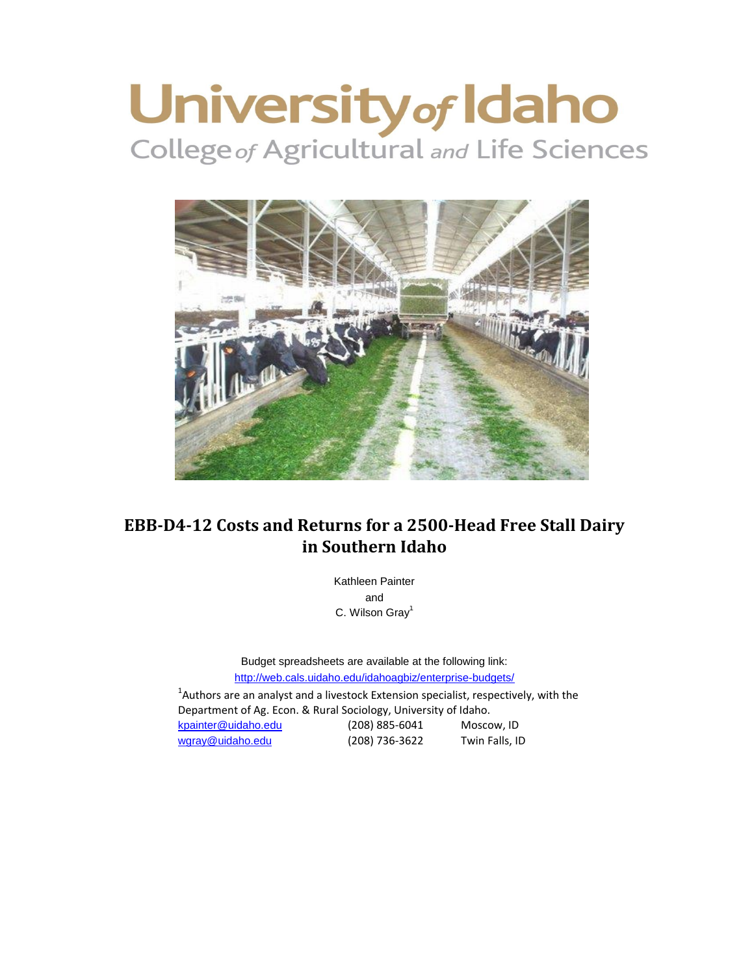# University of Idaho



# **EBB-D4-12 Costs and Returns for a 2500-Head Free Stall Dairy in Southern Idaho**

Kathleen Painter and C. Wilson Grav<sup>1</sup>

<http://web.cals.uidaho.edu/idahoagbiz/enterprise-budgets/> Budget spreadsheets are available at the following link:

 $^{1}$ Authors are an analyst and a livestock Extension specialist, respectively, with the Department of Ag. Econ. & Rural Sociology, University of Idaho. [kpainter@uidaho.edu](mailto:kpainter@uidaho.edu) (208) 885-6041 Moscow, ID [wgray@uidaho.edu](mailto:wgray@uidaho.edu) (208) 736-3622 Twin Falls, ID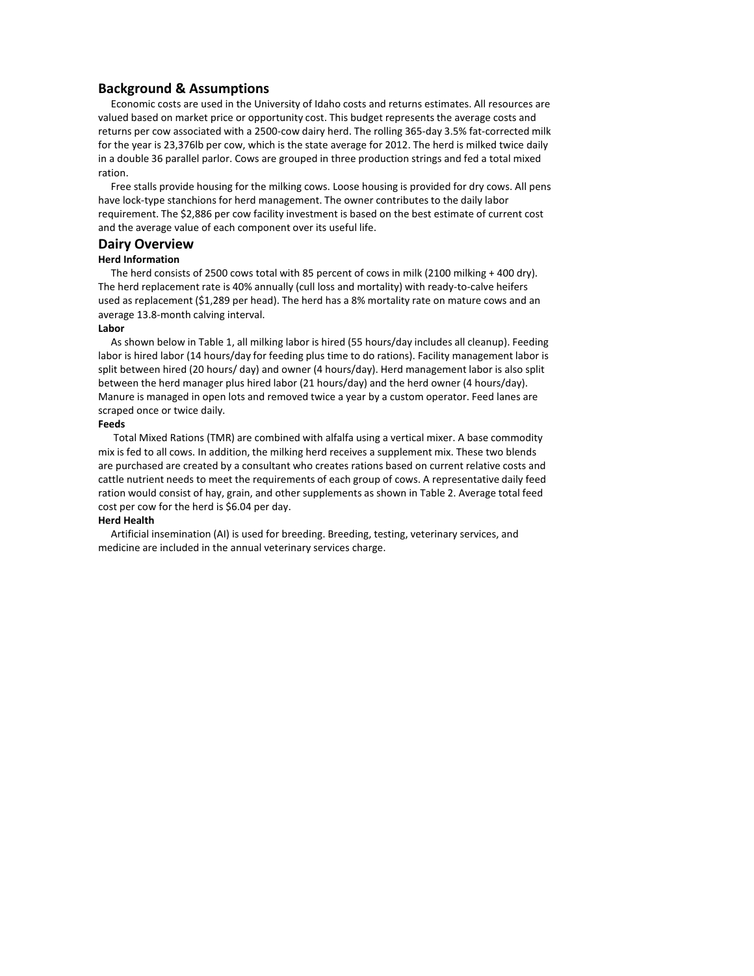## **Background & Assumptions**

 Economic costs are used in the University of Idaho costs and returns estimates. All resources are valued based on market price or opportunity cost. This budget represents the average costs and returns per cow associated with a 2500-cow dairy herd. The rolling 365-day 3.5% fat-corrected milk for the year is 23,376lb per cow, which is the state average for 2012. The herd is milked twice daily in a double 36 parallel parlor. Cows are grouped in three production strings and fed a total mixed ration.

 Free stalls provide housing for the milking cows. Loose housing is provided for dry cows. All pens have lock-type stanchions for herd management. The owner contributes to the daily labor requirement. The \$2,886 per cow facility investment is based on the best estimate of current cost and the average value of each component over its useful life.

## **Dairy Overview**

#### **Herd Information**

 The herd consists of 2500 cows total with 85 percent of cows in milk (2100 milking + 400 dry). The herd replacement rate is 40% annually (cull loss and mortality) with ready-to-calve heifers used as replacement (\$1,289 per head). The herd has a 8% mortality rate on mature cows and an average 13.8-month calving interval.

#### **Labor**

 As shown below in Table 1, all milking labor is hired (55 hours/day includes all cleanup). Feeding labor is hired labor (14 hours/day for feeding plus time to do rations). Facility management labor is split between hired (20 hours/ day) and owner (4 hours/day). Herd management labor is also split between the herd manager plus hired labor (21 hours/day) and the herd owner (4 hours/day). Manure is managed in open lots and removed twice a year by a custom operator. Feed lanes are scraped once or twice daily.

#### **Feeds**

 Total Mixed Rations (TMR) are combined with alfalfa using a vertical mixer. A base commodity mix is fed to all cows. In addition, the milking herd receives a supplement mix. These two blends are purchased are created by a consultant who creates rations based on current relative costs and cattle nutrient needs to meet the requirements of each group of cows. A representative daily feed ration would consist of hay, grain, and other supplements as shown in Table 2. Average total feed cost per cow for the herd is \$6.04 per day.

#### **Herd Health**

 Artificial insemination (AI) is used for breeding. Breeding, testing, veterinary services, and medicine are included in the annual veterinary services charge.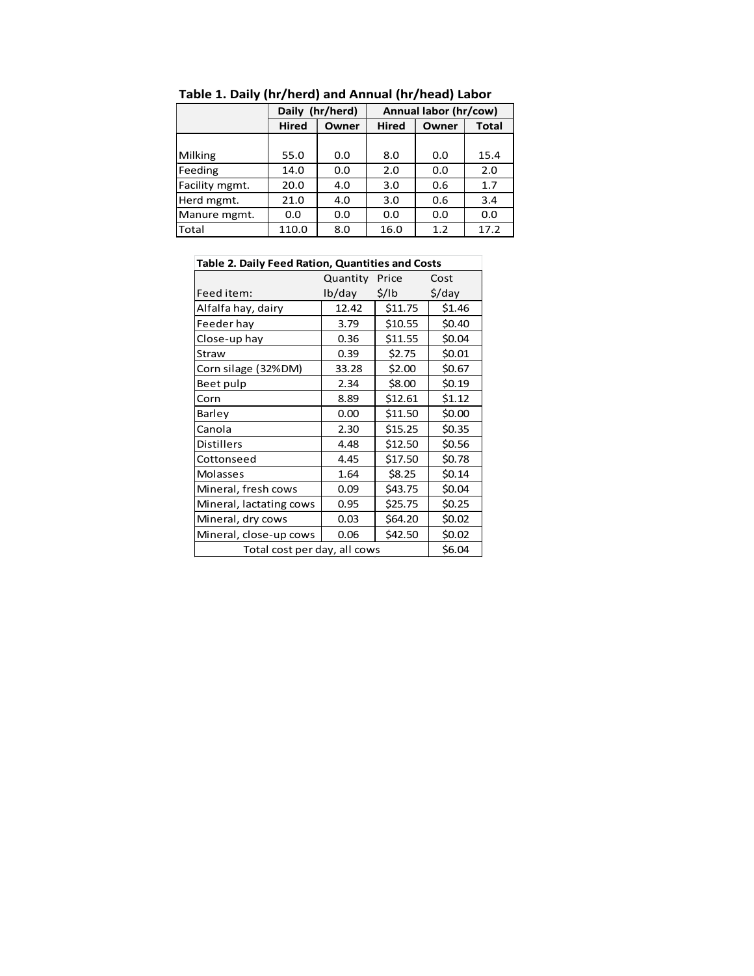|                |              | Daily (hr/herd) | Annual labor (hr/cow) |       |       |  |  |  |
|----------------|--------------|-----------------|-----------------------|-------|-------|--|--|--|
|                | <b>Hired</b> | Owner           | <b>Hired</b>          | Owner | Total |  |  |  |
|                |              |                 |                       |       |       |  |  |  |
| Milking        | 55.0         | 0.0             | 8.0                   | 0.0   | 15.4  |  |  |  |
| Feeding        | 14.0         | 0.0             | 2.0                   | 0.0   | 2.0   |  |  |  |
| Facility mgmt. | 20.0         | 4.0             | 3.0                   | 0.6   | 1.7   |  |  |  |
| Herd mgmt.     | 21.0         | 4.0             | 3.0                   | 0.6   | 3.4   |  |  |  |
| Manure mgmt.   | 0.0          | 0.0             | 0.0                   | 0.0   | 0.0   |  |  |  |
| Total          | 110.0        | 8.0             | 16.0                  | 1.2   | 17.2  |  |  |  |

**Table 1. Daily (hr/herd) and Annual (hr/head) Labor**

| <b>Table 2. Daily Feed Ration, Quantities and Costs</b> |          |                   |                    |  |  |  |  |  |  |
|---------------------------------------------------------|----------|-------------------|--------------------|--|--|--|--|--|--|
|                                                         | Quantity | Price             | Cost               |  |  |  |  |  |  |
| Feed item:                                              | lb/day   | $\frac{1}{2}$ /lb | $\frac{1}{2}$ /day |  |  |  |  |  |  |
| Alfalfa hay, dairy                                      | 12.42    | \$11.75           | \$1.46             |  |  |  |  |  |  |
| Feeder hay                                              | 3.79     | \$10.55           | \$0.40             |  |  |  |  |  |  |
| Close-up hay                                            | 0.36     | \$11.55           | \$0.04             |  |  |  |  |  |  |
| Straw                                                   | 0.39     | \$2.75            | \$0.01             |  |  |  |  |  |  |
| Corn silage (32%DM)                                     | 33.28    | \$2.00            | \$0.67             |  |  |  |  |  |  |
| Beet pulp                                               | 2.34     | \$8.00            | \$0.19             |  |  |  |  |  |  |
| Corn                                                    | 8.89     | \$12.61           | \$1.12             |  |  |  |  |  |  |
| Barley                                                  | 0.00     | \$11.50           | \$0.00             |  |  |  |  |  |  |
| Canola                                                  | 2.30     | \$15.25           | \$0.35             |  |  |  |  |  |  |
| <b>Distillers</b>                                       | 4.48     | \$12.50           | \$0.56             |  |  |  |  |  |  |
| Cottonseed                                              | 4.45     | \$17.50           | \$0.78             |  |  |  |  |  |  |
| Molasses                                                | 1.64     | \$8.25            | \$0.14             |  |  |  |  |  |  |
| Mineral, fresh cows                                     | 0.09     | \$43.75           | \$0.04             |  |  |  |  |  |  |
| Mineral, lactating cows                                 | 0.95     | \$25.75           | \$0.25             |  |  |  |  |  |  |
| Mineral, dry cows                                       | 0.03     | \$64.20           | \$0.02             |  |  |  |  |  |  |
| Mineral, close-up cows                                  | 0.06     | \$42.50           | \$0.02             |  |  |  |  |  |  |
| Total cost per day, all cows                            |          |                   | \$6.04             |  |  |  |  |  |  |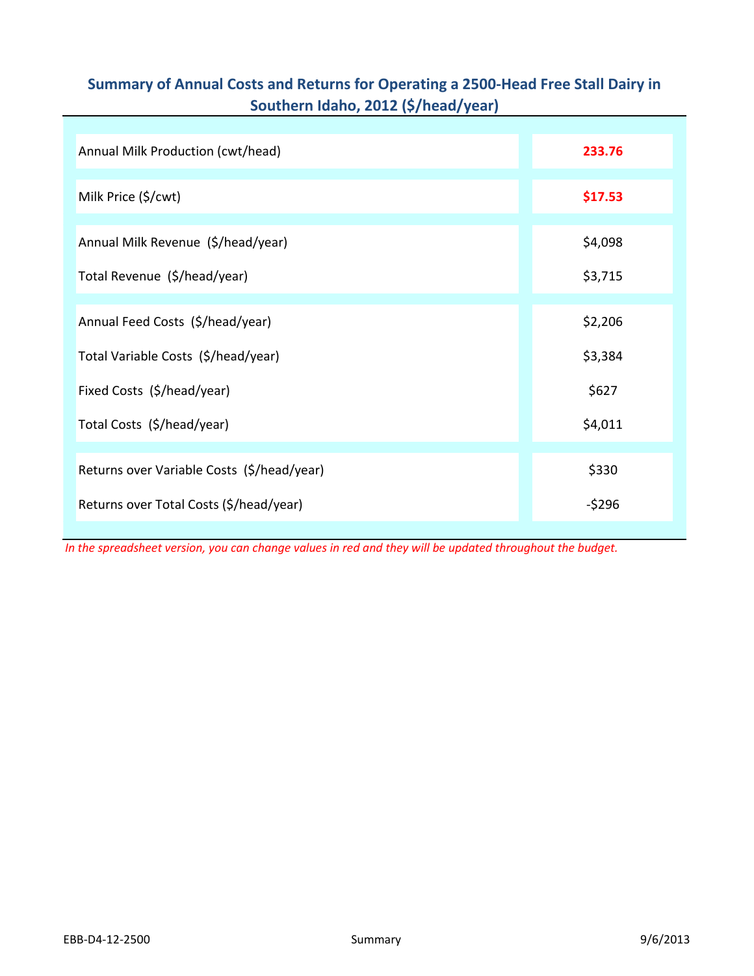# **Summary of Annual Costs and Returns for Operating a 2500-Head Free Stall Dairy in Southern Idaho, 2012 (\$/head/year)**

| Annual Milk Production (cwt/head)          | 233.76  |
|--------------------------------------------|---------|
| Milk Price (\$/cwt)                        | \$17.53 |
| Annual Milk Revenue (\$/head/year)         | \$4,098 |
| Total Revenue (\$/head/year)               | \$3,715 |
| Annual Feed Costs (\$/head/year)           | \$2,206 |
| Total Variable Costs (\$/head/year)        | \$3,384 |
| Fixed Costs (\$/head/year)                 | \$627   |
| Total Costs (\$/head/year)                 | \$4,011 |
| Returns over Variable Costs (\$/head/year) | \$330   |
| Returns over Total Costs (\$/head/year)    | $-5296$ |

*In the spreadsheet version, you can change values in red and they will be updated throughout the budget.*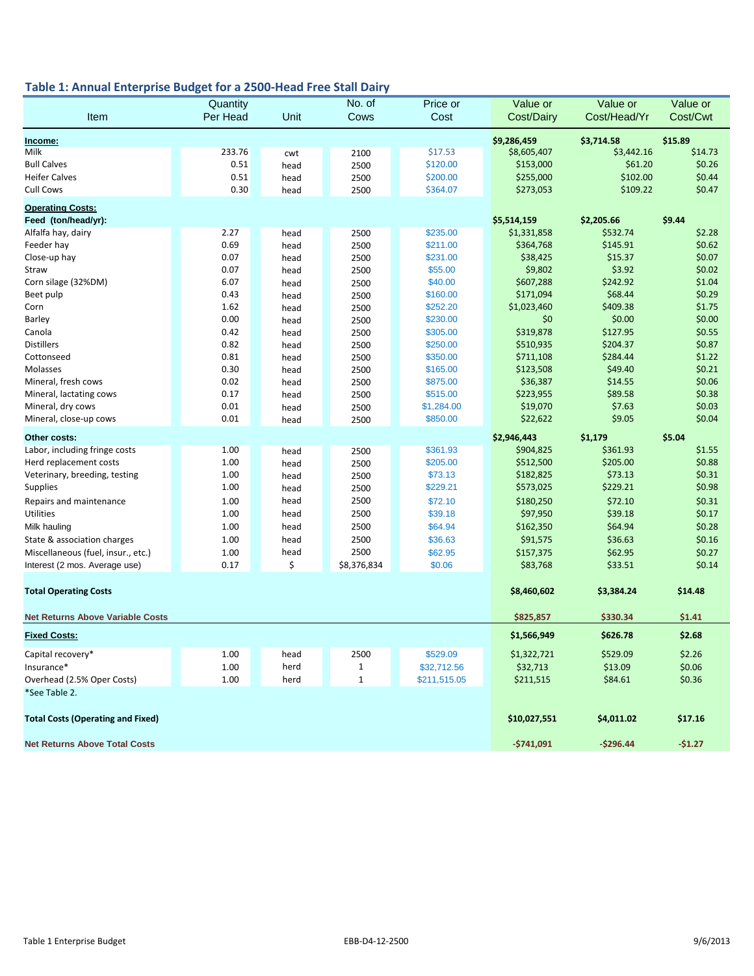## **Table 1: Annual Enterprise Budget for a 2500-Head Free Stall Dairy**

|                                                | Quantity |      | No. of       | Price or     | Value or     | Value or     | Value or |
|------------------------------------------------|----------|------|--------------|--------------|--------------|--------------|----------|
| Item                                           | Per Head | Unit | Cows         | Cost         | Cost/Dairy   | Cost/Head/Yr | Cost/Cwt |
| Income:                                        |          |      |              |              | \$9,286,459  | \$3,714.58   | \$15.89  |
| Milk                                           | 233.76   | cwt  | 2100         | \$17.53      | \$8,605,407  | \$3,442.16   | \$14.73  |
| <b>Bull Calves</b>                             | 0.51     | head | 2500         | \$120.00     | \$153,000    | \$61.20      | \$0.26   |
| <b>Heifer Calves</b>                           | 0.51     | head | 2500         | \$200.00     | \$255,000    | \$102.00     | \$0.44   |
| Cull Cows                                      | 0.30     | head | 2500         | \$364.07     | \$273,053    | \$109.22     | \$0.47   |
|                                                |          |      |              |              |              |              |          |
| <b>Operating Costs:</b><br>Feed (ton/head/yr): |          |      |              |              | \$5,514,159  | \$2,205.66   | \$9.44   |
| Alfalfa hay, dairy                             | 2.27     | head | 2500         | \$235.00     | \$1,331,858  | \$532.74     | \$2.28   |
| Feeder hay                                     | 0.69     | head | 2500         | \$211.00     | \$364,768    | \$145.91     | \$0.62   |
| Close-up hay                                   | 0.07     | head | 2500         | \$231.00     | \$38,425     | \$15.37      | \$0.07   |
| Straw                                          | 0.07     | head | 2500         | \$55.00      | \$9,802      | \$3.92       | \$0.02   |
| Corn silage (32%DM)                            | 6.07     | head | 2500         | \$40.00      | \$607,288    | \$242.92     | \$1.04   |
| Beet pulp                                      | 0.43     | head | 2500         | \$160.00     | \$171,094    | \$68.44      | \$0.29   |
| Corn                                           | 1.62     | head | 2500         | \$252.20     | \$1,023,460  | \$409.38     | \$1.75   |
| Barley                                         | 0.00     |      |              | \$230.00     | \$0          | \$0.00       | \$0.00   |
|                                                | 0.42     | head | 2500         | \$305.00     | \$319,878    | \$127.95     | \$0.55   |
| Canola                                         |          | head | 2500         |              |              |              |          |
| <b>Distillers</b>                              | 0.82     | head | 2500         | \$250.00     | \$510,935    | \$204.37     | \$0.87   |
| Cottonseed                                     | 0.81     | head | 2500         | \$350.00     | \$711,108    | \$284.44     | \$1.22   |
| Molasses                                       | 0.30     | head | 2500         | \$165.00     | \$123,508    | \$49.40      | \$0.21   |
| Mineral, fresh cows                            | 0.02     | head | 2500         | \$875.00     | \$36,387     | \$14.55      | \$0.06   |
| Mineral, lactating cows                        | 0.17     | head | 2500         | \$515.00     | \$223,955    | \$89.58      | \$0.38   |
| Mineral, dry cows                              | 0.01     | head | 2500         | \$1,284.00   | \$19,070     | \$7.63       | \$0.03   |
| Mineral, close-up cows                         | 0.01     | head | 2500         | \$850.00     | \$22,622     | \$9.05       | \$0.04   |
| Other costs:                                   |          |      |              |              | \$2,946,443  | \$1,179      | \$5.04   |
| Labor, including fringe costs                  | 1.00     | head | 2500         | \$361.93     | \$904,825    | \$361.93     | \$1.55   |
| Herd replacement costs                         | 1.00     | head | 2500         | \$205.00     | \$512,500    | \$205.00     | \$0.88   |
| Veterinary, breeding, testing                  | 1.00     | head | 2500         | \$73.13      | \$182,825    | \$73.13      | \$0.31   |
| <b>Supplies</b>                                | 1.00     | head | 2500         | \$229.21     | \$573,025    | \$229.21     | \$0.98   |
| Repairs and maintenance                        | 1.00     | head | 2500         | \$72.10      | \$180,250    | \$72.10      | \$0.31   |
| Utilities                                      | 1.00     | head | 2500         | \$39.18      | \$97,950     | \$39.18      | \$0.17   |
| Milk hauling                                   | 1.00     | head | 2500         | \$64.94      | \$162,350    | \$64.94      | \$0.28   |
| State & association charges                    | 1.00     | head | 2500         | \$36.63      | \$91,575     | \$36.63      | \$0.16   |
| Miscellaneous (fuel, insur., etc.)             | 1.00     | head | 2500         | \$62.95      | \$157,375    | \$62.95      | \$0.27   |
| Interest (2 mos. Average use)                  | 0.17     | \$   | \$8,376,834  | \$0.06       | \$83,768     | \$33.51      | \$0.14   |
|                                                |          |      |              |              |              |              |          |
| <b>Total Operating Costs</b>                   |          |      |              |              | \$8,460,602  | \$3,384.24   | \$14.48  |
|                                                |          |      |              |              |              |              |          |
| <b>Net Returns Above Variable Costs</b>        |          |      |              |              | \$825,857    | \$330.34     | \$1.41   |
| <b>Fixed Costs:</b>                            |          |      |              |              | \$1,566,949  | \$626.78     | \$2.68   |
| Capital recovery*                              | 1.00     | head | 2500         | \$529.09     | \$1,322,721  | \$529.09     | \$2.26   |
| Insurance*                                     | 1.00     | herd | 1            | \$32,712.56  | \$32,713     | \$13.09      | \$0.06   |
| Overhead (2.5% Oper Costs)                     | 1.00     | herd | $\mathbf{1}$ | \$211,515.05 | \$211,515    | \$84.61      | \$0.36   |
| *See Table 2.                                  |          |      |              |              |              |              |          |
| <b>Total Costs (Operating and Fixed)</b>       |          |      |              |              | \$10,027,551 | \$4,011.02   | \$17.16  |
|                                                |          |      |              |              |              |              |          |
| <b>Net Returns Above Total Costs</b>           |          |      |              |              | $-5741,091$  | $-$296.44$   | $-$1.27$ |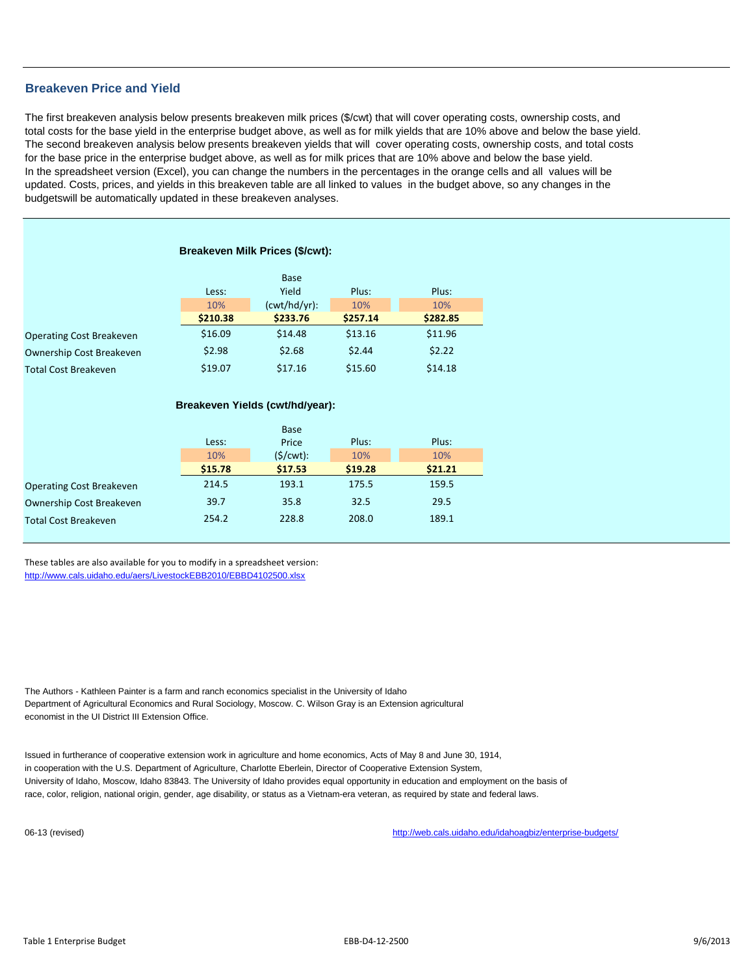## **Breakeven Price and Yield**

The first breakeven analysis below presents breakeven milk prices (\$/cwt) that will cover operating costs, ownership costs, and total costs for the base yield in the enterprise budget above, as well as for milk yields that are 10% above and below the base yield. The second breakeven analysis below presents breakeven yields that will cover operating costs, ownership costs, and total costs for the base price in the enterprise budget above, as well as for milk prices that are 10% above and below the base yield. In the spreadsheet version (Excel), you can change the numbers in the percentages in the orange cells and all values will be updated. Costs, prices, and yields in this breakeven table are all linked to values in the budget above, so any changes in the budgetswill be automatically updated in these breakeven analyses.

| Breakeven Milk Prices (\$/cwt): |          |              |          |          |  |  |  |  |  |  |  |  |
|---------------------------------|----------|--------------|----------|----------|--|--|--|--|--|--|--|--|
|                                 |          | Base         |          |          |  |  |  |  |  |  |  |  |
|                                 | Less:    | Yield        | Plus:    | Plus:    |  |  |  |  |  |  |  |  |
|                                 | 10%      | (cwt/hd/yr): | 10%      | 10%      |  |  |  |  |  |  |  |  |
|                                 | \$210.38 | \$233.76     | \$257.14 | \$282.85 |  |  |  |  |  |  |  |  |
| <b>Operating Cost Breakeven</b> | \$16.09  | \$14.48      | \$13.16  | \$11.96  |  |  |  |  |  |  |  |  |
| <b>Ownership Cost Breakeven</b> | \$2.98   | \$2.68       | \$2.44   | \$2.22   |  |  |  |  |  |  |  |  |
| <b>Total Cost Breakeven</b>     | \$19.07  | \$17.16      | \$15.60  | \$14.18  |  |  |  |  |  |  |  |  |
|                                 |          |              |          |          |  |  |  |  |  |  |  |  |

## **Breakeven Yields (cwt/hd/year):**

|                                 |         | <b>Base</b> |         |         |
|---------------------------------|---------|-------------|---------|---------|
|                                 | Less:   | Price       | Plus:   | Plus:   |
|                                 | 10%     | $(S/cwt)$ : | 10%     | 10%     |
|                                 | \$15.78 | \$17.53     | \$19.28 | \$21.21 |
| <b>Operating Cost Breakeven</b> | 214.5   | 193.1       | 175.5   | 159.5   |
| <b>Ownership Cost Breakeven</b> | 39.7    | 35.8        | 32.5    | 29.5    |
| <b>Total Cost Breakeven</b>     | 254.2   | 228.8       | 208.0   | 189.1   |
|                                 |         |             |         |         |

These tables are also available for you to modify in a spreadsheet version: [http://www.cals.uidaho.edu/aers/LivestockEBB2010/EBBD4102500.xlsx](http://www.cals.uidaho.edu/aers/LivestockEBB2010/EBBD5105000.xlsx)

The Authors - Kathleen Painter is a farm and ranch economics specialist in the University of Idaho Department of Agricultural Economics and Rural Sociology, Moscow. C. Wilson Gray is an Extension agricultural economist in the UI District III Extension Office.

Issued in furtherance of cooperative extension work in agriculture and home economics, Acts of May 8 and June 30, 1914, in cooperation with the U.S. Department of Agriculture, Charlotte Eberlein, Director of Cooperative Extension System, University of Idaho, Moscow, Idaho 83843. The University of Idaho provides equal opportunity in education and employment on the basis of race, color, religion, national origin, gender, age disability, or status as a Vietnam-era veteran, as required by state and federal laws.

06-13 (revised) http://web.cals.uidaho.edu/idahoagbiz/enterprise-budgets/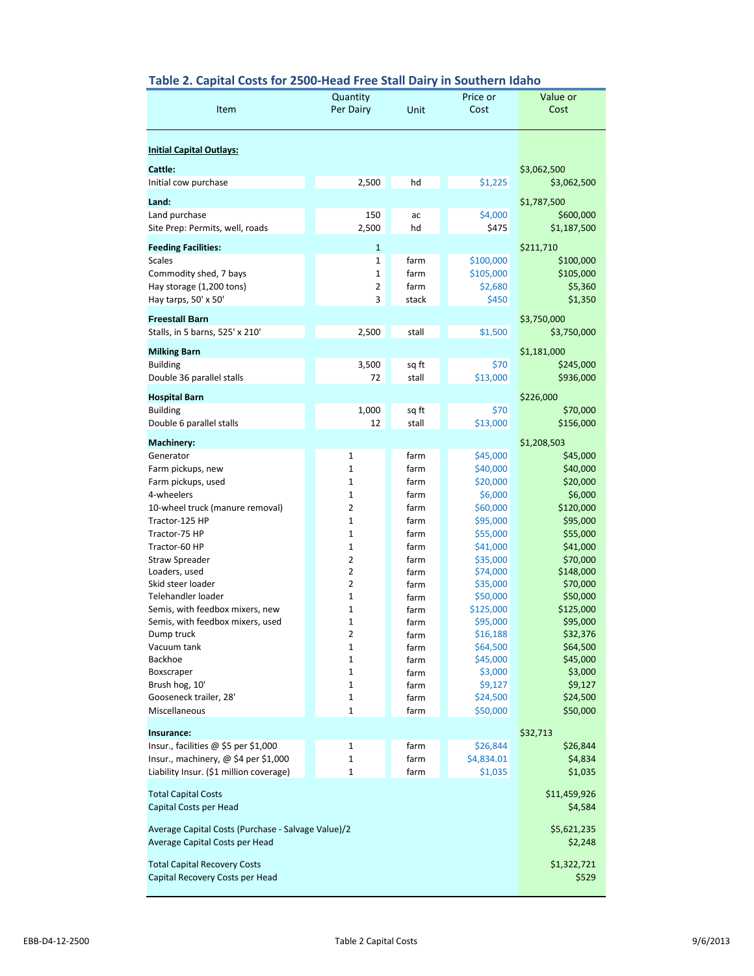## **Table 2. Capital Costs for 2500-Head Free Stall Dairy in Southern Idaho**

| Item                                                                | Quantity<br>Per Dairy        | Unit           | Price or<br>Cost      | Value or<br>Cost           |
|---------------------------------------------------------------------|------------------------------|----------------|-----------------------|----------------------------|
| <b>Initial Capital Outlays:</b>                                     |                              |                |                       |                            |
| Cattle:<br>Initial cow purchase                                     | 2,500                        | hd             | \$1,225               | \$3,062,500<br>\$3,062,500 |
| Land:                                                               |                              |                |                       | \$1,787,500                |
| Land purchase                                                       | 150                          | ac             | \$4,000               | \$600,000                  |
| Site Prep: Permits, well, roads                                     | 2,500                        | hd             | \$475                 | \$1,187,500                |
| <b>Feeding Facilities:</b>                                          | $\mathbf{1}$                 |                |                       | \$211,710                  |
| <b>Scales</b>                                                       | $\mathbf{1}$                 | farm           | \$100,000             | \$100,000                  |
| Commodity shed, 7 bays                                              | $\mathbf{1}$                 | farm           | \$105,000             | \$105,000                  |
| Hay storage (1,200 tons)                                            | 2<br>3                       | farm           | \$2,680               | \$5,360                    |
| Hay tarps, 50' x 50'                                                |                              | stack          | \$450                 | \$1,350                    |
| <b>Freestall Barn</b>                                               |                              |                |                       | \$3,750,000                |
| Stalls, in 5 barns, 525' x 210'                                     | 2,500                        | stall          | \$1,500               | \$3,750,000                |
| <b>Milking Barn</b>                                                 |                              |                |                       | \$1,181,000                |
| <b>Building</b>                                                     | 3,500                        | sq ft          | \$70                  | \$245,000                  |
| Double 36 parallel stalls                                           | 72                           | stall          | \$13,000              | \$936,000                  |
| <b>Hospital Barn</b>                                                |                              |                |                       | \$226,000                  |
| <b>Building</b><br>Double 6 parallel stalls                         | 1,000<br>12                  | sq ft<br>stall | \$70<br>\$13,000      | \$70,000<br>\$156,000      |
|                                                                     |                              |                |                       |                            |
| <b>Machinery:</b>                                                   |                              |                |                       | \$1,208,503                |
| Generator<br>Farm pickups, new                                      | $\mathbf 1$<br>$\mathbf{1}$  | farm<br>farm   | \$45,000<br>\$40,000  | \$45,000<br>\$40,000       |
| Farm pickups, used                                                  | $\mathbf{1}$                 | farm           | \$20,000              | \$20,000                   |
| 4-wheelers                                                          | 1                            | farm           | \$6,000               | \$6,000                    |
| 10-wheel truck (manure removal)                                     | $\overline{2}$               | farm           | \$60,000              | \$120,000                  |
| Tractor-125 HP                                                      | $\mathbf{1}$                 | farm           | \$95,000              | \$95,000                   |
| Tractor-75 HP<br>Tractor-60 HP                                      | $\mathbf{1}$<br>$\mathbf{1}$ | farm<br>farm   | \$55,000<br>\$41,000  | \$55,000<br>\$41,000       |
| Straw Spreader                                                      | $\overline{2}$               | farm           | \$35,000              | \$70,000                   |
| Loaders, used                                                       | 2                            | farm           | \$74,000              | \$148,000                  |
| Skid steer loader                                                   | 2                            | farm           | \$35,000              | \$70,000                   |
| Telehandler loader                                                  | $\mathbf{1}$                 | farm           | \$50,000              | \$50,000                   |
| Semis, with feedbox mixers, new<br>Semis, with feedbox mixers, used | 1<br>1                       | farm<br>farm   | \$125,000<br>\$95,000 | \$125,000<br>\$95,000      |
| Dump truck                                                          | 2                            | farm           | \$16,188              | \$32,376                   |
| Vacuum tank                                                         | 1                            | farm           | \$64,500              | \$64,500                   |
| Backhoe                                                             | 1                            | farm           | \$45,000              | \$45,000                   |
| Boxscraper                                                          | 1<br>1                       | farm           | \$3,000<br>\$9,127    | \$3,000<br>\$9,127         |
| Brush hog, 10'<br>Gooseneck trailer, 28'                            | 1                            | farm<br>farm   | \$24,500              | \$24,500                   |
| Miscellaneous                                                       | 1                            | farm           | \$50,000              | \$50,000                   |
| Insurance:                                                          |                              |                |                       |                            |
| Insur., facilities @ \$5 per \$1,000                                | $\mathbf 1$                  | farm           | \$26,844              | \$32,713<br>\$26,844       |
| Insur., machinery, @ \$4 per \$1,000                                | $\mathbf{1}$                 | farm           | \$4,834.01            | \$4,834                    |
| Liability Insur. (\$1 million coverage)                             | 1                            | farm           | \$1,035               | \$1,035                    |
| <b>Total Capital Costs</b>                                          |                              |                |                       | \$11,459,926               |
| Capital Costs per Head                                              |                              |                |                       | \$4,584                    |
|                                                                     |                              |                |                       |                            |
| Average Capital Costs (Purchase - Salvage Value)/2                  |                              |                |                       | \$5,621,235                |
| Average Capital Costs per Head                                      |                              |                |                       | \$2,248                    |
| <b>Total Capital Recovery Costs</b>                                 |                              |                |                       | \$1,322,721                |
| Capital Recovery Costs per Head                                     |                              |                |                       | \$529                      |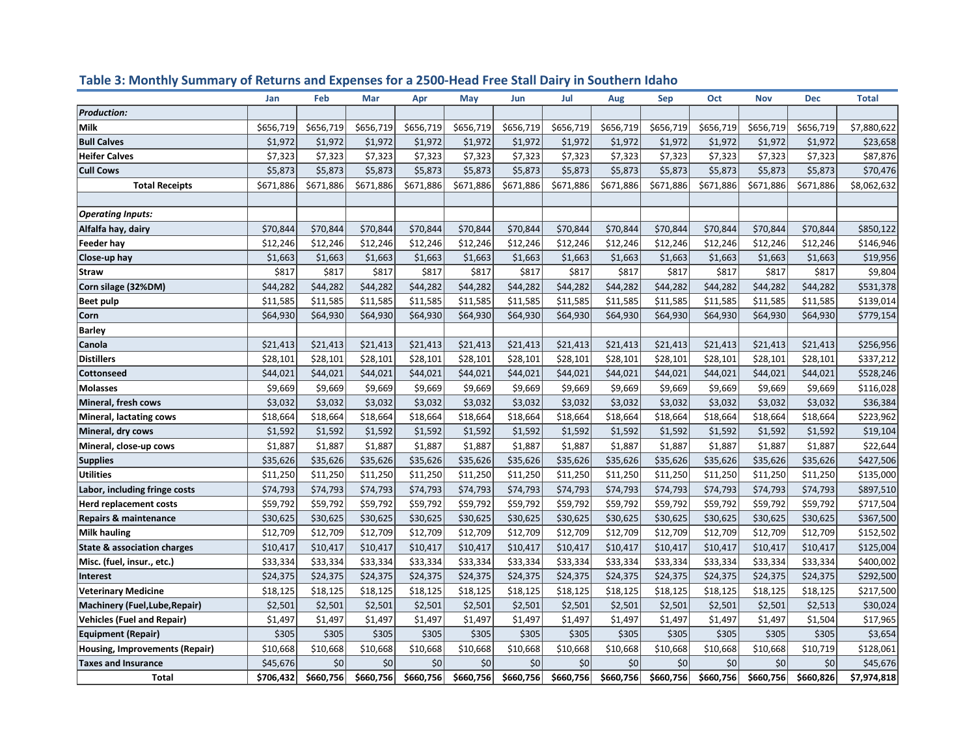|                                        | Jan       | Feb       | Mar       | Apr       | May       | Jun       | Jul       | Aug       | <b>Sep</b> | Oct       | <b>Nov</b> | <b>Dec</b> | <b>Total</b> |
|----------------------------------------|-----------|-----------|-----------|-----------|-----------|-----------|-----------|-----------|------------|-----------|------------|------------|--------------|
| <b>Production:</b>                     |           |           |           |           |           |           |           |           |            |           |            |            |              |
| <b>Milk</b>                            | \$656,719 | \$656,719 | \$656,719 | \$656,719 | \$656,719 | \$656,719 | \$656,719 | \$656,719 | \$656,719  | \$656,719 | \$656,719  | \$656,719  | \$7,880,622  |
| <b>Bull Calves</b>                     | \$1,972   | \$1,972   | \$1,972   | \$1,972   | \$1,972   | \$1,972   | \$1,972   | \$1,972   | \$1,972    | \$1,972   | \$1,972    | \$1,972    | \$23,658     |
| <b>Heifer Calves</b>                   | \$7,323   | \$7,323   | \$7,323   | \$7,323   | \$7,323   | \$7,323   | \$7,323   | \$7,323   | \$7,323    | \$7,323   | \$7,323    | \$7,323    | \$87,876     |
| <b>Cull Cows</b>                       | \$5,873   | \$5,873   | \$5,873   | \$5,873   | \$5,873   | \$5,873   | \$5,873   | \$5,873   | \$5,873    | \$5,873   | \$5,873    | \$5,873    | \$70,476     |
| <b>Total Receipts</b>                  | \$671,886 | \$671,886 | \$671,886 | \$671,886 | \$671,886 | \$671,886 | \$671,886 | \$671,886 | \$671,886  | \$671,886 | \$671,886  | \$671,886  | \$8,062,632  |
|                                        |           |           |           |           |           |           |           |           |            |           |            |            |              |
| <b>Operating Inputs:</b>               |           |           |           |           |           |           |           |           |            |           |            |            |              |
| Alfalfa hay, dairy                     | \$70,844  | \$70,844  | \$70,844  | \$70,844  | \$70,844  | \$70,844  | \$70,844  | \$70,844  | \$70,844   | \$70,844  | \$70,844   | \$70,844   | \$850,122    |
| <b>Feeder hay</b>                      | \$12,246  | \$12,246  | \$12,246  | \$12,246  | \$12,246  | \$12,246  | \$12,246  | \$12,246  | \$12,246   | \$12,246  | \$12,246   | \$12,246   | \$146,946    |
| Close-up hay                           | \$1,663   | \$1,663   | \$1,663   | \$1,663   | \$1,663   | \$1,663   | \$1,663   | \$1,663   | \$1,663    | \$1,663   | \$1,663    | \$1,663    | \$19,956     |
| <b>Straw</b>                           | \$817     | \$817     | \$817     | \$817     | \$817     | \$817     | \$817     | \$817     | \$817      | \$817     | \$817      | \$817      | \$9,804      |
| Corn silage (32%DM)                    | \$44,282  | \$44,282  | \$44,282  | \$44,282  | \$44,282  | \$44,282  | \$44,282  | \$44,282  | \$44,282   | \$44,282  | \$44,282   | \$44,282   | \$531,378    |
| <b>Beet pulp</b>                       | \$11,585  | \$11,585  | \$11,585  | \$11,585  | \$11,585  | \$11,585  | \$11,585  | \$11,585  | \$11,585   | \$11,585  | \$11,585   | \$11,585   | \$139,014    |
| Corn                                   | \$64,930  | \$64,930  | \$64,930  | \$64,930  | \$64,930  | \$64,930  | \$64,930  | \$64,930  | \$64,930   | \$64,930  | \$64,930   | \$64,930   | \$779,154    |
| <b>Barley</b>                          |           |           |           |           |           |           |           |           |            |           |            |            |              |
| Canola                                 | \$21,413  | \$21,413  | \$21,413  | \$21,413  | \$21,413  | \$21,413  | \$21,413  | \$21,413  | \$21,413   | \$21,413  | \$21,413   | \$21,413   | \$256,956    |
| <b>Distillers</b>                      | \$28,101  | \$28,101  | \$28,101  | \$28,101  | \$28,101  | \$28,101  | \$28,101  | \$28,101  | \$28,101   | \$28,101  | \$28,101   | \$28,101   | \$337,212    |
| <b>Cottonseed</b>                      | \$44,021  | \$44,021  | \$44,021  | \$44,021  | \$44,021  | \$44,021  | \$44,021  | \$44,021  | \$44,021   | \$44,021  | \$44,021   | \$44,021   | \$528,246    |
| <b>Molasses</b>                        | \$9,669   | \$9,669   | \$9,669   | \$9,669   | \$9,669   | \$9,669   | \$9,669   | \$9,669   | \$9,669    | \$9,669   | \$9,669    | \$9,669    | \$116,028    |
| Mineral, fresh cows                    | \$3,032   | \$3,032   | \$3,032   | \$3,032   | \$3,032   | \$3,032   | \$3,032   | \$3,032   | \$3,032    | \$3,032   | \$3,032    | \$3,032    | \$36,384     |
| Mineral, lactating cows                | \$18,664  | \$18,664  | \$18,664  | \$18,664  | \$18,664  | \$18,664  | \$18,664  | \$18,664  | \$18,664   | \$18,664  | \$18,664   | \$18,664   | \$223,962    |
| Mineral, dry cows                      | \$1,592   | \$1,592   | \$1,592   | \$1,592   | \$1,592   | \$1,592   | \$1,592   | \$1,592   | \$1,592    | \$1,592   | \$1,592    | \$1,592    | \$19,104     |
| Mineral, close-up cows                 | \$1,887   | \$1,887   | \$1,887   | \$1,887   | \$1,887   | \$1,887   | \$1,887   | \$1,887   | \$1,887    | \$1,887   | \$1,887    | \$1,887    | \$22,644     |
| <b>Supplies</b>                        | \$35,626  | \$35,626  | \$35,626  | \$35,626  | \$35,626  | \$35,626  | \$35,626  | \$35,626  | \$35,626   | \$35,626  | \$35,626   | \$35,626   | \$427,506    |
| <b>Utilities</b>                       | \$11,250  | \$11,250  | \$11,250  | \$11,250  | \$11,250  | \$11,250  | \$11,250  | \$11,250  | \$11,250   | \$11,250  | \$11,250   | \$11,250   | \$135,000    |
| Labor, including fringe costs          | \$74,793  | \$74,793  | \$74,793  | \$74,793  | \$74,793  | \$74,793  | \$74,793  | \$74,793  | \$74,793   | \$74,793  | \$74,793   | \$74,793   | \$897,510    |
| <b>Herd replacement costs</b>          | \$59,792  | \$59,792  | \$59,792  | \$59,792  | \$59,792  | \$59,792  | \$59,792  | \$59,792  | \$59,792   | \$59,792  | \$59,792   | \$59,792   | \$717,504    |
| <b>Repairs &amp; maintenance</b>       | \$30,625  | \$30,625  | \$30,625  | \$30,625  | \$30,625  | \$30,625  | \$30,625  | \$30,625  | \$30,625   | \$30,625  | \$30,625   | \$30,625   | \$367,500    |
| <b>Milk hauling</b>                    | \$12,709  | \$12,709  | \$12,709  | \$12,709  | \$12,709  | \$12,709  | \$12,709  | \$12,709  | \$12,709   | \$12,709  | \$12,709   | \$12,709   | \$152,502    |
| <b>State &amp; association charges</b> | \$10,417  | \$10,417  | \$10,417  | \$10,417  | \$10,417  | \$10,417  | \$10,417  | \$10,417  | \$10,417   | \$10,417  | \$10,417   | \$10,417   | \$125,004    |
| Misc. (fuel, insur., etc.)             | \$33,334  | \$33,334  | \$33,334  | \$33,334  | \$33,334  | \$33,334  | \$33,334  | \$33,334  | \$33,334   | \$33,334  | \$33,334   | \$33,334   | \$400,002    |
| Interest                               | \$24,375  | \$24,375  | \$24,375  | \$24,375  | \$24,375  | \$24,375  | \$24,375  | \$24,375  | \$24,375   | \$24,375  | \$24,375   | \$24,375   | \$292,500    |
| <b>Veterinary Medicine</b>             | \$18,125  | \$18,125  | \$18,125  | \$18,125  | \$18,125  | \$18,125  | \$18,125  | \$18,125  | \$18,125   | \$18,125  | \$18,125   | \$18,125   | \$217,500    |
| Machinery (Fuel, Lube, Repair)         | \$2,501   | \$2,501   | \$2,501   | \$2,501   | \$2,501   | \$2,501   | \$2,501   | \$2,501   | \$2,501    | \$2,501   | \$2,501    | \$2,513    | \$30,024     |
| <b>Vehicles (Fuel and Repair)</b>      | \$1,497   | \$1,497   | \$1,497   | \$1,497   | \$1,497   | \$1,497   | \$1,497   | \$1,497   | \$1,497    | \$1,497   | \$1,497    | \$1,504    | \$17,965     |
| <b>Equipment (Repair)</b>              | \$305     | \$305     | \$305     | \$305     | \$305     | \$305     | \$305     | \$305     | \$305      | \$305     | \$305      | \$305      | \$3,654      |
| Housing, Improvements (Repair)         | \$10,668  | \$10,668  | \$10,668  | \$10,668  | \$10,668  | \$10,668  | \$10,668  | \$10,668  | \$10,668   | \$10,668  | \$10,668   | \$10,719   | \$128,061    |
| <b>Taxes and Insurance</b>             | \$45,676  | \$0       | \$0       | \$0       | \$0       | \$0       | \$0       | \$0       | \$0        | \$0       | \$0        | \$0        | \$45,676     |
| <b>Total</b>                           | \$706,432 | \$660,756 | \$660,756 | \$660,756 | \$660,756 | \$660,756 | \$660,756 | \$660,756 | \$660,756  | \$660,756 | \$660,756  | \$660,826  | \$7,974,818  |

# **Table 3: Monthly Summary of Returns and Expenses for a 2500-Head Free Stall Dairy in Southern Idaho**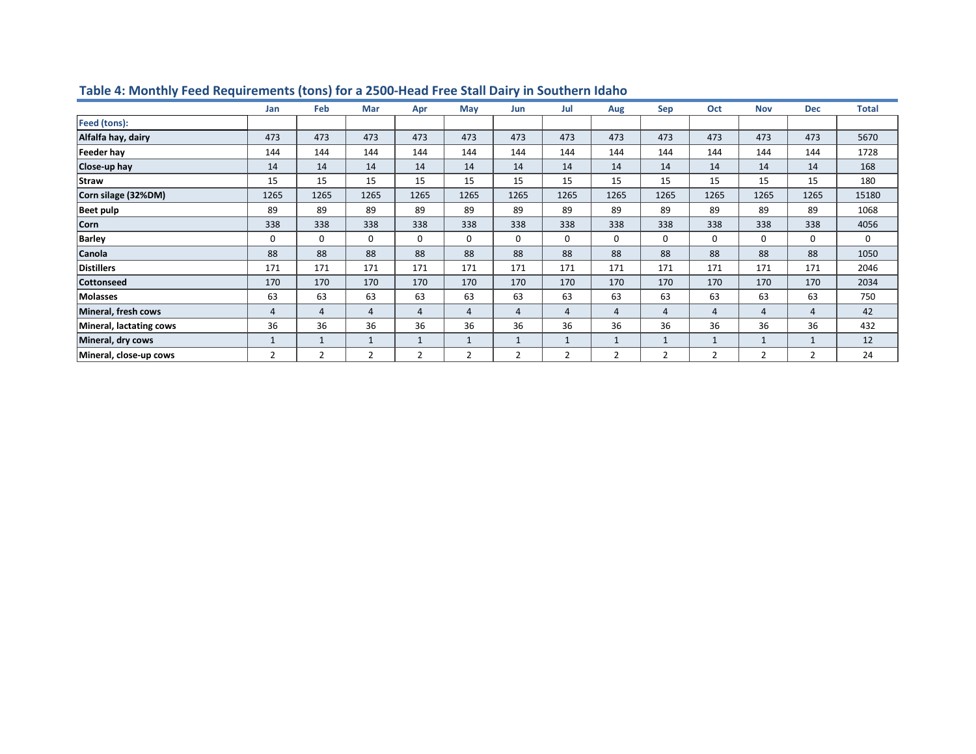|                         | Jan         | Feb            | Mar         | Apr          | May          | Jun            | Jul          | Aug            | <b>Sep</b>     | Oct  | <b>Nov</b>   | <b>Dec</b>     | <b>Total</b> |
|-------------------------|-------------|----------------|-------------|--------------|--------------|----------------|--------------|----------------|----------------|------|--------------|----------------|--------------|
| Feed (tons):            |             |                |             |              |              |                |              |                |                |      |              |                |              |
| Alfalfa hay, dairy      | 473         | 473            | 473         | 473          | 473          | 473            | 473          | 473            | 473            | 473  | 473          | 473            | 5670         |
| Feeder hay              | 144         | 144            | 144         | 144          | 144          | 144            | 144          | 144            | 144            | 144  | 144          | 144            | 1728         |
| Close-up hay            | 14          | 14             | 14          | 14           | 14           | 14             | 14           | 14             | 14             | 14   | 14           | 14             | 168          |
| Straw                   | 15          | 15             | 15          | 15           | 15           | 15             | 15           | 15             | 15             | 15   | 15           | 15             | 180          |
| Corn silage (32%DM)     | 1265        | 1265           | 1265        | 1265         | 1265         | 1265           | 1265         | 1265           | 1265           | 1265 | 1265         | 1265           | 15180        |
| <b>Beet pulp</b>        | 89          | 89             | 89          | 89           | 89           | 89             | 89           | 89             | 89             | 89   | 89           | 89             | 1068         |
| <b>Corn</b>             | 338         | 338            | 338         | 338          | 338          | 338            | 338          | 338            | 338            | 338  | 338          | 338            | 4056         |
| <b>Barley</b>           | $\mathbf 0$ | $\mathbf 0$    | $\mathbf 0$ | 0            | $\mathbf 0$  | 0              | $\mathbf 0$  | 0              | $\mathbf 0$    | 0    | $\mathbf 0$  | $\mathbf 0$    | 0            |
| Canola                  | 88          | 88             | 88          | 88           | 88           | 88             | 88           | 88             | 88             | 88   | 88           | 88             | 1050         |
| <b>Distillers</b>       | 171         | 171            | 171         | 171          | 171          | 171            | 171          | 171            | 171            | 171  | 171          | 171            | 2046         |
| <b>Cottonseed</b>       | 170         | 170            | 170         | 170          | 170          | 170            | 170          | 170            | 170            | 170  | 170          | 170            | 2034         |
| Molasses                | 63          | 63             | 63          | 63           | 63           | 63             | 63           | 63             | 63             | 63   | 63           | 63             | 750          |
| Mineral, fresh cows     | 4           | $\overline{4}$ | 4           | 4            | 4            | $\overline{4}$ | 4            | $\overline{4}$ | $\overline{4}$ | 4    | 4            | 4              | 42           |
| Mineral, lactating cows | 36          | 36             | 36          | 36           | 36           | 36             | 36           | 36             | 36             | 36   | 36           | 36             | 432          |
| Mineral, dry cows       |             | $\mathbf{1}$   | 1           | $\mathbf{1}$ | $\mathbf{1}$ | $\mathbf{1}$   | $\mathbf{1}$ | $\mathbf{1}$   | $\mathbf{1}$   | 1    | $\mathbf{1}$ |                | 12           |
| Mineral, close-up cows  | 2           | 2              | 2           | 2            | 2            | 2              | 2            | 2              | $\overline{2}$ | 2    | 2            | $\overline{2}$ | 24           |

# **Table 4: Monthly Feed Requirements (tons) for a 2500-Head Free Stall Dairy in Southern Idaho**